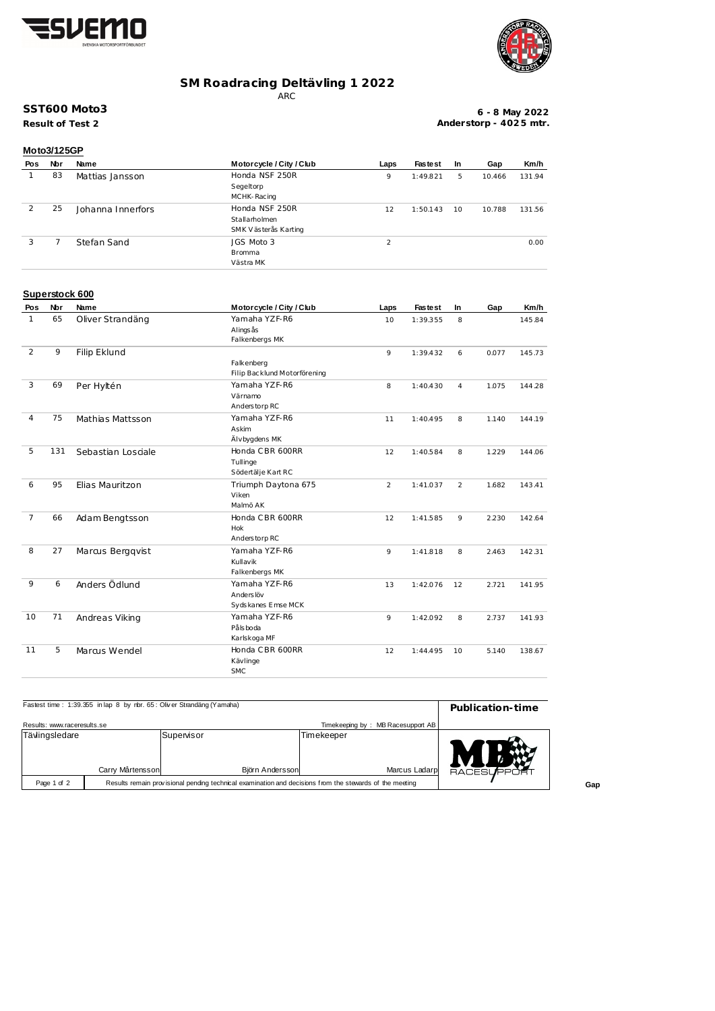



## **SM Roadracing Deltävling 1 2022**

ARC

## **SST600 Moto3**

**Result of Test 2**

**6 - 8 May 2022 Anderstorp - 402 5 mtr.**

|            | <b>Moto3/125GP</b> |                   |                          |      |                |    |        |        |  |  |
|------------|--------------------|-------------------|--------------------------|------|----------------|----|--------|--------|--|--|
| <b>Pos</b> | Nbr                | Name              | Motorcycle / City / Club | Laps | <b>Fastest</b> | In | Gap    | Km/h   |  |  |
|            | 83                 | Mattias Jansson   | Honda NSF 250R           | 9    | 1:49.821       | 5  | 10.466 | 131.94 |  |  |
|            |                    |                   | Segeltorp                |      |                |    |        |        |  |  |
|            |                    |                   | MCHK-Racing              |      |                |    |        |        |  |  |
| 2          | 25                 | Johanna Innerfors | Honda NSF 250R           | 12   | 1:50.143       | 10 | 10.788 | 131.56 |  |  |
|            |                    |                   | Stallarholmen            |      |                |    |        |        |  |  |
|            |                    |                   | SMK Västerås Karting     |      |                |    |        |        |  |  |
| 3          |                    | Stefan Sand       | JGS Moto 3               | 2    |                |    |        | 0.00   |  |  |
|            |                    |                   | <b>Bromma</b>            |      |                |    |        |        |  |  |
|            |                    |                   | Västra MK                |      |                |    |        |        |  |  |

## **Superstock 600**

| Pos            | Nbr | Name               | Motorcycle / City / Club                   | Laps | <b>Fastest</b> | In             | Gap   | Km/h   |
|----------------|-----|--------------------|--------------------------------------------|------|----------------|----------------|-------|--------|
| $\mathbf{1}$   | 65  | Oliver Strandäng   | Yamaha YZF-R6<br>Alings ås                 | 10   | 1:39.355       | 8              |       | 145.84 |
|                |     |                    | Falkenbergs MK                             |      |                |                |       |        |
| 2              | 9   | Filip Eklund       |                                            | 9    | 1:39.432       | 6              | 0.077 | 145.73 |
|                |     |                    | Falkenberg<br>Filip Backlund Motorförening |      |                |                |       |        |
| 3              | 69  | Per Hyltén         | Yamaha YZF-R6                              | 8    | 1:40.430       | $\overline{4}$ | 1.075 | 144.28 |
|                |     |                    | Värnamo                                    |      |                |                |       |        |
|                |     |                    | Anderstorp RC                              |      |                |                |       |        |
| $\overline{4}$ | 75  | Mathias Mattsson   | Yamaha YZF-R6                              | 11   | 1:40.495       | 8              | 1.140 | 144.19 |
|                |     |                    | Askim                                      |      |                |                |       |        |
|                |     |                    | Älvbygdens MK                              |      |                |                |       |        |
| 5              | 131 | Sebastian Losciale | Honda CBR 600RR                            | 12   | 1:40.584       | 8              | 1.229 | 144.06 |
|                |     |                    | Tullinge                                   |      |                |                |       |        |
|                |     |                    | Södertälje Kart RC                         |      |                |                |       |        |
| 6              | 95  | Elias Mauritzon    | Triumph Daytona 675                        | 2    | 1:41.037       | 2              | 1.682 | 143.41 |
|                |     |                    | Viken                                      |      |                |                |       |        |
|                |     |                    | Malmö AK                                   |      |                |                |       |        |
| $\overline{7}$ | 66  | Adam Bengtsson     | Honda CBR 600RR                            | 12   | 1:41.585       | 9              | 2.230 | 142.64 |
|                |     |                    | <b>Hok</b>                                 |      |                |                |       |        |
|                |     |                    | Anderstorp RC                              |      |                |                |       |        |
| 8              | 27  | Marcus Bergqvist   | Yamaha YZF-R6                              | 9    | 1:41.818       | 8              | 2.463 | 142.31 |
|                |     |                    | Kullavik                                   |      |                |                |       |        |
|                |     |                    | Falkenbergs MK                             |      |                |                |       |        |
| 9              | 6   | Anders Ödlund      | Yamaha YZF-R6                              | 13   | 1:42.076       | 12             | 2.721 | 141.95 |
|                |     |                    | Anders löv                                 |      |                |                |       |        |
|                |     |                    | Sydskanes Emse MCK                         |      |                |                |       |        |
| 10             | 71  | Andreas Viking     | Yamaha YZF-R6                              | 9    | 1:42.092       | 8              | 2.737 | 141.93 |
|                |     |                    | Pålsboda                                   |      |                |                |       |        |
|                |     |                    | Karlskoga MF                               |      |                |                |       |        |
| 11             | 5   | Marcus Wendel      | Honda CBR 600RR                            | 12   | 1:44.495       | 10             | 5.140 | 138.67 |
|                |     |                    | Kävlinge                                   |      |                |                |       |        |
|                |     |                    | <b>SMC</b>                                 |      |                |                |       |        |

| Fastest time: 1:39.355 in lap 8 by nbr. 65: Oliver Strandäng (Yamaha) | Publication-time |                                                                                                         |            |                                   |        |
|-----------------------------------------------------------------------|------------------|---------------------------------------------------------------------------------------------------------|------------|-----------------------------------|--------|
| Results: www.raceresults.se                                           |                  |                                                                                                         |            | Timekeeping by: MB Racesupport AB |        |
| Tävlingsledare                                                        | Carry Mårtensson | Supenisor<br>Björn Andersson                                                                            | Timekeeper | Marcus Ladarp                     | RACESU |
| Page 1 of 2                                                           |                  | Results remain provisional pending technical examination and decisions from the stewards of the meeting |            |                                   |        |

**Gap**